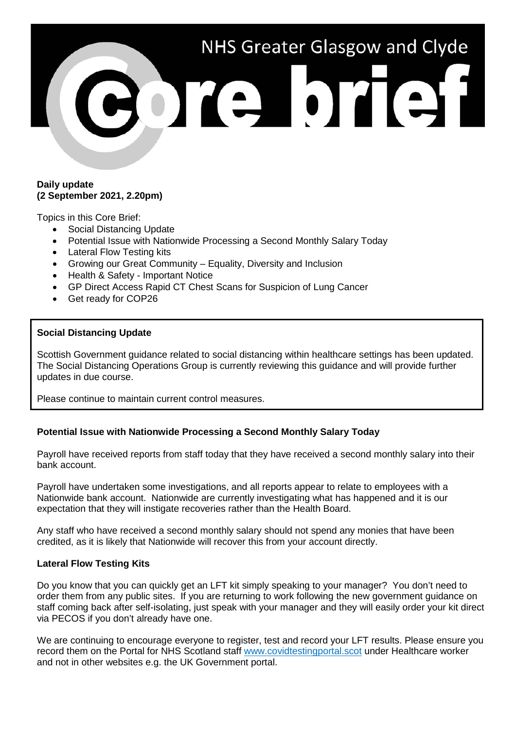# NHS Greater Glasgow and Clyde ore brief

#### **Daily update (2 September 2021, 2.20pm)**

Topics in this Core Brief:

- Social Distancing Update
- Potential Issue with Nationwide Processing a Second Monthly Salary Today
- Lateral Flow Testing kits
- Growing our Great Community Equality, Diversity and Inclusion
- Health & Safety Important Notice
- GP Direct Access Rapid CT Chest Scans for Suspicion of Lung Cancer
- Get ready for COP26

## **Social Distancing Update**

Scottish Government guidance related to social distancing within healthcare settings has been updated. The Social Distancing Operations Group is currently reviewing this guidance and will provide further updates in due course.

Please continue to maintain current control measures.

# **Potential Issue with Nationwide Processing a Second Monthly Salary Today**

Payroll have received reports from staff today that they have received a second monthly salary into their bank account.

Payroll have undertaken some investigations, and all reports appear to relate to employees with a Nationwide bank account. Nationwide are currently investigating what has happened and it is our expectation that they will instigate recoveries rather than the Health Board.

Any staff who have received a second monthly salary should not spend any monies that have been credited, as it is likely that Nationwide will recover this from your account directly.

## **Lateral Flow Testing Kits**

Do you know that you can quickly get an LFT kit simply speaking to your manager? You don't need to order them from any public sites. If you are returning to work following the new government guidance on staff coming back after self-isolating, just speak with your manager and they will easily order your kit direct via PECOS if you don't already have one.

We are continuing to encourage everyone to register, test and record your LFT results. Please ensure you record them on the Portal for NHS Scotland staff [www.covidtestingportal.scot](http://www.covidtestingportal.scot/) under Healthcare worker and not in other websites e.g. the UK Government portal.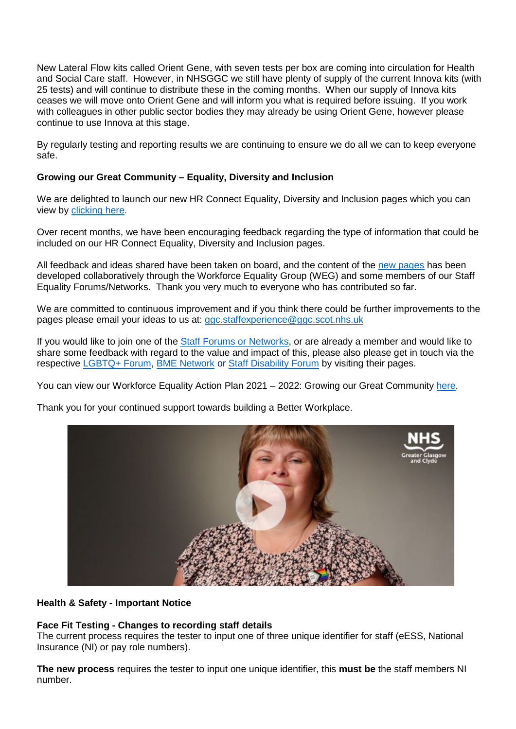New Lateral Flow kits called Orient Gene, with seven tests per box are coming into circulation for Health and Social Care staff. However, in NHSGGC we still have plenty of supply of the current Innova kits (with 25 tests) and will continue to distribute these in the coming months. When our supply of Innova kits ceases we will move onto Orient Gene and will inform you what is required before issuing. If you work with colleagues in other public sector bodies they may already be using Orient Gene, however please continue to use Innova at this stage.

By regularly testing and reporting results we are continuing to ensure we do all we can to keep everyone safe.

# **Growing our Great Community – Equality, Diversity and Inclusion**

We are delighted to launch our new HR Connect Equality, Diversity and Inclusion pages which you can view by [clicking here.](https://www.nhsggc.org.uk/working-with-us/hr-connect/growing-our-great-community-through-equality-diversity-and-inclusion/)

Over recent months, we have been encouraging feedback regarding the type of information that could be included on our HR Connect Equality, Diversity and Inclusion pages.

All feedback and ideas shared have been taken on board, and the content of the [new pages](https://www.nhsggc.org.uk/working-with-us/hr-connect/growing-our-great-community-through-equality-diversity-and-inclusion/) has been developed collaboratively through the Workforce Equality Group (WEG) and some members of our Staff Equality Forums/Networks. Thank you very much to everyone who has contributed so far.

We are committed to continuous improvement and if you think there could be further improvements to the pages please email your ideas to us at: [ggc.staffexperience@ggc.scot.nhs.uk](mailto:ggc.staffexperience@ggc.scot.nhs.uk)

If you would like to join one of the [Staff Forums or Networks,](https://www.nhsggc.org.uk/working-with-us/hr-connect/growing-our-great-community-through-equality-diversity-and-inclusion/staff-forums-networks/) or are already a member and would like to share some feedback with regard to the value and impact of this, please also please get in touch via the respective [LGBTQ+ Forum,](https://www.nhsggc.org.uk/working-with-us/hr-connect/growing-our-great-community-through-equality-diversity-and-inclusion/staff-forums-networks/lgbtqplus-staff-forum/) [BME Network](https://www.nhsggc.org.uk/working-with-us/hr-connect/growing-our-great-community-through-equality-diversity-and-inclusion/staff-forums-networks/bme-staff-network/) or [Staff Disability Forum](https://www.nhsggc.org.uk/working-with-us/hr-connect/growing-our-great-community-through-equality-diversity-and-inclusion/staff-forums-networks/staff-disability-forum/) by visiting their pages.

You can view our Workforce Equality Action Plan 2021 – 2022: Growing our Great Community [here.](https://www.nhsggc.org.uk/media/267878/20210527-revised-workforce-equality-action-plan-final-cmt-approved-word.pdf)

Thank you for your continued support towards building a Better Workplace.



## **Health & Safety - Important Notice**

# **Face Fit Testing - Changes to recording staff details**

The current process requires the tester to input one of three unique identifier for staff (eESS, National Insurance (NI) or pay role numbers).

**The new process** requires the tester to input one unique identifier, this **must be** the staff members NI number.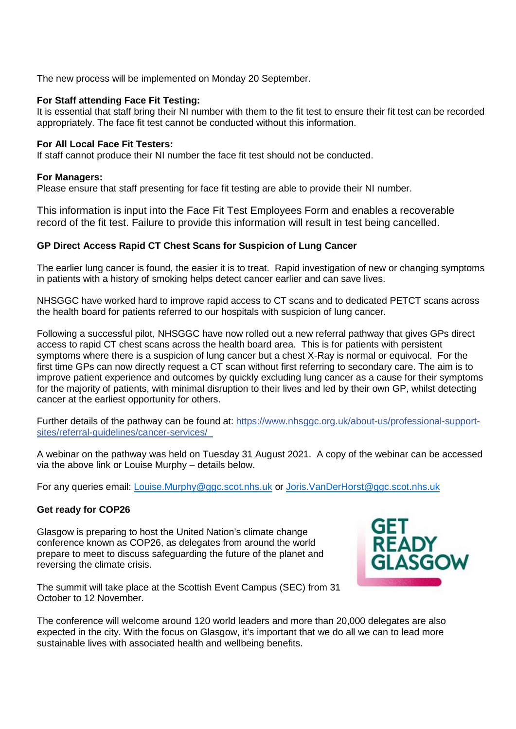The new process will be implemented on Monday 20 September.

## **For Staff attending Face Fit Testing:**

It is essential that staff bring their NI number with them to the fit test to ensure their fit test can be recorded appropriately. The face fit test cannot be conducted without this information.

## **For All Local Face Fit Testers:**

If staff cannot produce their NI number the face fit test should not be conducted.

## **For Managers:**

Please ensure that staff presenting for face fit testing are able to provide their NI number.

This information is input into the Face Fit Test Employees Form and enables a recoverable record of the fit test. Failure to provide this information will result in test being cancelled.

# **GP Direct Access Rapid CT Chest Scans for Suspicion of Lung Cancer**

The earlier lung cancer is found, the easier it is to treat. Rapid investigation of new or changing symptoms in patients with a history of smoking helps detect cancer earlier and can save lives.

NHSGGC have worked hard to improve rapid access to CT scans and to dedicated PETCT scans across the health board for patients referred to our hospitals with suspicion of lung cancer.

Following a successful pilot, NHSGGC have now rolled out a new referral pathway that gives GPs direct access to rapid CT chest scans across the health board area. This is for patients with persistent symptoms where there is a suspicion of lung cancer but a chest X-Ray is normal or equivocal. For the first time GPs can now directly request a CT scan without first referring to secondary care. The aim is to improve patient experience and outcomes by quickly excluding lung cancer as a cause for their symptoms for the majority of patients, with minimal disruption to their lives and led by their own GP, whilst detecting cancer at the earliest opportunity for others.

Further details of the pathway can be found at: [https://www.nhsggc.org.uk/about-us/professional-support](https://www.nhsggc.org.uk/about-us/professional-support-sites/referral-guidelines/cancer-services/)[sites/referral-guidelines/cancer-services/](https://www.nhsggc.org.uk/about-us/professional-support-sites/referral-guidelines/cancer-services/)

A webinar on the pathway was held on Tuesday 31 August 2021. A copy of the webinar can be accessed via the above link or Louise Murphy – details below.

For any queries email: *Louise.Murphy@ggc.scot.nhs.uk or [Joris.VanDerHorst@ggc.scot.nhs.uk](mailto:Joris.VanDerHorst@ggc.scot.nhs.uk)* 

# **Get ready for COP26**

Glasgow is preparing to host the United Nation's climate change conference known as COP26, as delegates from around the world prepare to meet to discuss safeguarding the future of the planet and reversing the climate crisis.



The summit will take place at the Scottish Event Campus (SEC) from 31 October to 12 November.

The conference will welcome around 120 world leaders and more than 20,000 delegates are also expected in the city. With the focus on Glasgow, it's important that we do all we can to lead more sustainable lives with associated health and wellbeing benefits.